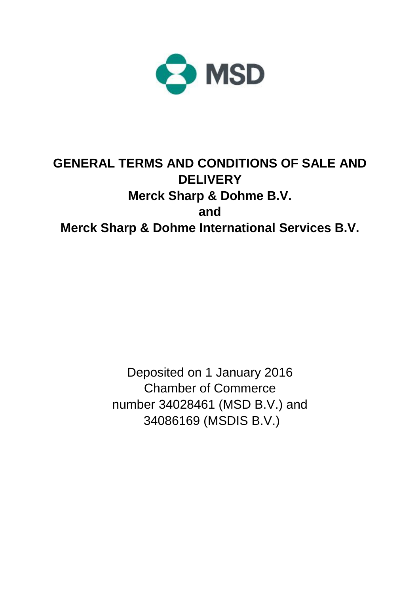

# **GENERAL TERMS AND CONDITIONS OF SALE AND DELIVERY Merck Sharp & Dohme B.V. and Merck Sharp & Dohme International Services B.V.**

Deposited on 1 January 2016 Chamber of Commerce number 34028461 (MSD B.V.) and 34086169 (MSDIS B.V.)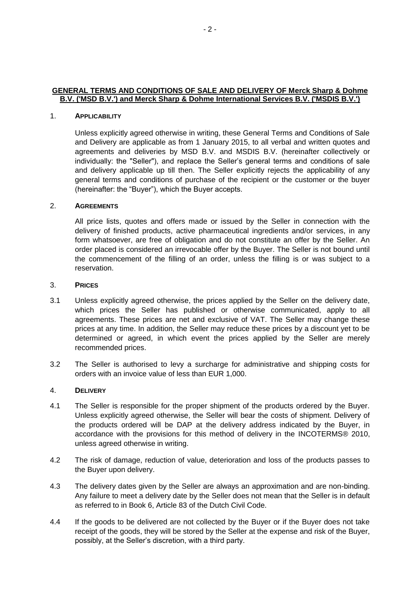# **GENERAL TERMS AND CONDITIONS OF SALE AND DELIVERY OF Merck Sharp & Dohme B.V. ('MSD B.V.') and Merck Sharp & Dohme International Services B.V. ('MSDIS B.V.')**

## 1. **APPLICABILITY**

Unless explicitly agreed otherwise in writing, these General Terms and Conditions of Sale and Delivery are applicable as from 1 January 2015, to all verbal and written quotes and agreements and deliveries by MSD B.V. and MSDIS B.V. (hereinafter collectively or individually: the "Seller"), and replace the Seller's general terms and conditions of sale and delivery applicable up till then. The Seller explicitly rejects the applicability of any general terms and conditions of purchase of the recipient or the customer or the buyer (hereinafter: the "Buyer"), which the Buyer accepts.

# 2. **AGREEMENTS**

All price lists, quotes and offers made or issued by the Seller in connection with the delivery of finished products, active pharmaceutical ingredients and/or services, in any form whatsoever, are free of obligation and do not constitute an offer by the Seller. An order placed is considered an irrevocable offer by the Buyer. The Seller is not bound until the commencement of the filling of an order, unless the filling is or was subject to a reservation.

#### 3. **PRICES**

- 3.1 Unless explicitly agreed otherwise, the prices applied by the Seller on the delivery date, which prices the Seller has published or otherwise communicated, apply to all agreements. These prices are net and exclusive of VAT. The Seller may change these prices at any time. In addition, the Seller may reduce these prices by a discount yet to be determined or agreed, in which event the prices applied by the Seller are merely recommended prices.
- 3.2 The Seller is authorised to levy a surcharge for administrative and shipping costs for orders with an invoice value of less than EUR 1,000.

## 4. **DELIVERY**

- 4.1 The Seller is responsible for the proper shipment of the products ordered by the Buyer. Unless explicitly agreed otherwise, the Seller will bear the costs of shipment. Delivery of the products ordered will be DAP at the delivery address indicated by the Buyer, in accordance with the provisions for this method of delivery in the INCOTERMS® 2010, unless agreed otherwise in writing.
- 4.2 The risk of damage, reduction of value, deterioration and loss of the products passes to the Buyer upon delivery.
- 4.3 The delivery dates given by the Seller are always an approximation and are non-binding. Any failure to meet a delivery date by the Seller does not mean that the Seller is in default as referred to in Book 6, Article 83 of the Dutch Civil Code.
- 4.4 If the goods to be delivered are not collected by the Buyer or if the Buyer does not take receipt of the goods, they will be stored by the Seller at the expense and risk of the Buyer, possibly, at the Seller's discretion, with a third party.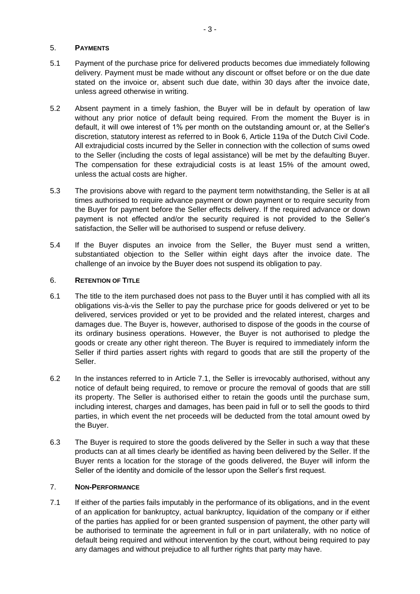# 5. **PAYMENTS**

- 5.1 Payment of the purchase price for delivered products becomes due immediately following delivery. Payment must be made without any discount or offset before or on the due date stated on the invoice or, absent such due date, within 30 days after the invoice date, unless agreed otherwise in writing.
- 5.2 Absent payment in a timely fashion, the Buyer will be in default by operation of law without any prior notice of default being required. From the moment the Buyer is in default, it will owe interest of 1% per month on the outstanding amount or, at the Seller's discretion, statutory interest as referred to in Book 6, Article 119a of the Dutch Civil Code. All extrajudicial costs incurred by the Seller in connection with the collection of sums owed to the Seller (including the costs of legal assistance) will be met by the defaulting Buyer. The compensation for these extrajudicial costs is at least 15% of the amount owed, unless the actual costs are higher.
- 5.3 The provisions above with regard to the payment term notwithstanding, the Seller is at all times authorised to require advance payment or down payment or to require security from the Buyer for payment before the Seller effects delivery. If the required advance or down payment is not effected and/or the security required is not provided to the Seller's satisfaction, the Seller will be authorised to suspend or refuse delivery.
- 5.4 If the Buyer disputes an invoice from the Seller, the Buyer must send a written, substantiated objection to the Seller within eight days after the invoice date. The challenge of an invoice by the Buyer does not suspend its obligation to pay.

# 6. **RETENTION OF TITLE**

- 6.1 The title to the item purchased does not pass to the Buyer until it has complied with all its obligations vis-à-vis the Seller to pay the purchase price for goods delivered or yet to be delivered, services provided or yet to be provided and the related interest, charges and damages due. The Buyer is, however, authorised to dispose of the goods in the course of its ordinary business operations. However, the Buyer is not authorised to pledge the goods or create any other right thereon. The Buyer is required to immediately inform the Seller if third parties assert rights with regard to goods that are still the property of the Seller.
- 6.2 In the instances referred to in Article 7.1, the Seller is irrevocably authorised, without any notice of default being required, to remove or procure the removal of goods that are still its property. The Seller is authorised either to retain the goods until the purchase sum, including interest, charges and damages, has been paid in full or to sell the goods to third parties, in which event the net proceeds will be deducted from the total amount owed by the Buyer.
- 6.3 The Buyer is required to store the goods delivered by the Seller in such a way that these products can at all times clearly be identified as having been delivered by the Seller. If the Buyer rents a location for the storage of the goods delivered, the Buyer will inform the Seller of the identity and domicile of the lessor upon the Seller's first request.

## 7. **NON-PERFORMANCE**

7.1 If either of the parties fails imputably in the performance of its obligations, and in the event of an application for bankruptcy, actual bankruptcy, liquidation of the company or if either of the parties has applied for or been granted suspension of payment, the other party will be authorised to terminate the agreement in full or in part unilaterally, with no notice of default being required and without intervention by the court, without being required to pay any damages and without prejudice to all further rights that party may have.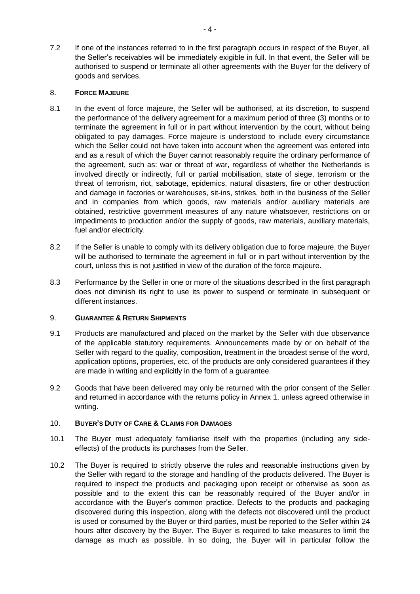7.2 If one of the instances referred to in the first paragraph occurs in respect of the Buyer, all the Seller's receivables will be immediately exigible in full. In that event, the Seller will be authorised to suspend or terminate all other agreements with the Buyer for the delivery of goods and services.

# 8. **FORCE MAJEURE**

- 8.1 In the event of force majeure, the Seller will be authorised, at its discretion, to suspend the performance of the delivery agreement for a maximum period of three (3) months or to terminate the agreement in full or in part without intervention by the court, without being obligated to pay damages. Force majeure is understood to include every circumstance which the Seller could not have taken into account when the agreement was entered into and as a result of which the Buyer cannot reasonably require the ordinary performance of the agreement, such as: war or threat of war, regardless of whether the Netherlands is involved directly or indirectly, full or partial mobilisation, state of siege, terrorism or the threat of terrorism, riot, sabotage, epidemics, natural disasters, fire or other destruction and damage in factories or warehouses, sit-ins, strikes, both in the business of the Seller and in companies from which goods, raw materials and/or auxiliary materials are obtained, restrictive government measures of any nature whatsoever, restrictions on or impediments to production and/or the supply of goods, raw materials, auxiliary materials, fuel and/or electricity.
- 8.2 If the Seller is unable to comply with its delivery obligation due to force majeure, the Buyer will be authorised to terminate the agreement in full or in part without intervention by the court, unless this is not justified in view of the duration of the force majeure.
- 8.3 Performance by the Seller in one or more of the situations described in the first paragraph does not diminish its right to use its power to suspend or terminate in subsequent or different instances.

# 9. **GUARANTEE & RETURN SHIPMENTS**

- 9.1 Products are manufactured and placed on the market by the Seller with due observance of the applicable statutory requirements. Announcements made by or on behalf of the Seller with regard to the quality, composition, treatment in the broadest sense of the word, application options, properties, etc. of the products are only considered guarantees if they are made in writing and explicitly in the form of a guarantee.
- 9.2 Goods that have been delivered may only be returned with the prior consent of the Seller and returned in accordance with the returns policy in Annex 1, unless agreed otherwise in writing.

# 10. **BUYER'S DUTY OF CARE & CLAIMS FOR DAMAGES**

- 10.1 The Buyer must adequately familiarise itself with the properties (including any sideeffects) of the products its purchases from the Seller.
- 10.2 The Buyer is required to strictly observe the rules and reasonable instructions given by the Seller with regard to the storage and handling of the products delivered. The Buyer is required to inspect the products and packaging upon receipt or otherwise as soon as possible and to the extent this can be reasonably required of the Buyer and/or in accordance with the Buyer's common practice. Defects to the products and packaging discovered during this inspection, along with the defects not discovered until the product is used or consumed by the Buyer or third parties, must be reported to the Seller within 24 hours after discovery by the Buyer. The Buyer is required to take measures to limit the damage as much as possible. In so doing, the Buyer will in particular follow the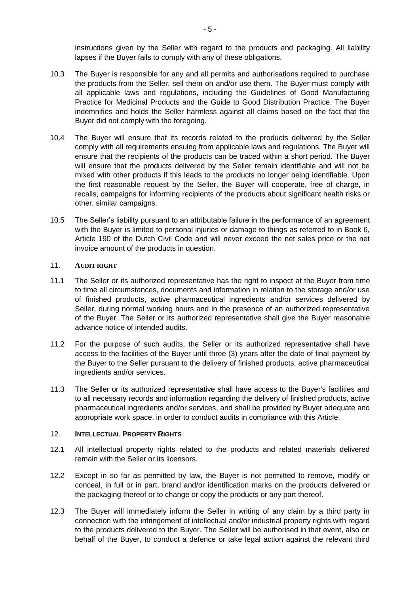instructions given by the Seller with regard to the products and packaging. All liability lapses if the Buyer fails to comply with any of these obligations.

- 10.3 The Buyer is responsible for any and all permits and authorisations required to purchase the products from the Seller, sell them on and/or use them. The Buyer must comply with all applicable laws and regulations, including the Guidelines of Good Manufacturing Practice for Medicinal Products and the Guide to Good Distribution Practice. The Buyer indemnifies and holds the Seller harmless against all claims based on the fact that the Buyer did not comply with the foregoing.
- 10.4 The Buyer will ensure that its records related to the products delivered by the Seller comply with all requirements ensuing from applicable laws and regulations. The Buyer will ensure that the recipients of the products can be traced within a short period. The Buyer will ensure that the products delivered by the Seller remain identifiable and will not be mixed with other products if this leads to the products no longer being identifiable. Upon the first reasonable request by the Seller, the Buyer will cooperate, free of charge, in recalls, campaigns for informing recipients of the products about significant health risks or other, similar campaigns.
- 10.5 The Seller's liability pursuant to an attributable failure in the performance of an agreement with the Buyer is limited to personal injuries or damage to things as referred to in Book 6, Article 190 of the Dutch Civil Code and will never exceed the net sales price or the net invoice amount of the products in question.

# 11. **AUDIT RIGHT**

- 11.1 The Seller or its authorized representative has the right to inspect at the Buyer from time to time all circumstances, documents and information in relation to the storage and/or use of finished products, active pharmaceutical ingredients and/or services delivered by Seller, during normal working hours and in the presence of an authorized representative of the Buyer. The Seller or its authorized representative shall give the Buyer reasonable advance notice of intended audits.
- 11.2 For the purpose of such audits, the Seller or its authorized representative shall have access to the facilities of the Buyer until three (3) years after the date of final payment by the Buyer to the Seller pursuant to the delivery of finished products, active pharmaceutical ingredients and/or services.
- 11.3 The Seller or its authorized representative shall have access to the Buyer's facilities and to all necessary records and information regarding the delivery of finished products, active pharmaceutical ingredients and/or services, and shall be provided by Buyer adequate and appropriate work space, in order to conduct audits in compliance with this Article.

#### 12. **INTELLECTUAL PROPERTY RIGHTS**

- 12.1 All intellectual property rights related to the products and related materials delivered remain with the Seller or its licensors.
- 12.2 Except in so far as permitted by law, the Buyer is not permitted to remove, modify or conceal, in full or in part, brand and/or identification marks on the products delivered or the packaging thereof or to change or copy the products or any part thereof.
- 12.3 The Buyer will immediately inform the Seller in writing of any claim by a third party in connection with the infringement of intellectual and/or industrial property rights with regard to the products delivered to the Buyer. The Seller will be authorised in that event, also on behalf of the Buyer, to conduct a defence or take legal action against the relevant third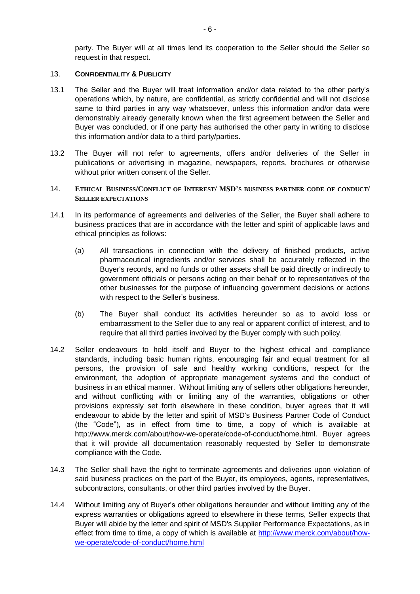party. The Buyer will at all times lend its cooperation to the Seller should the Seller so request in that respect.

## 13. **CONFIDENTIALITY & PUBLICITY**

- 13.1 The Seller and the Buyer will treat information and/or data related to the other party's operations which, by nature, are confidential, as strictly confidential and will not disclose same to third parties in any way whatsoever, unless this information and/or data were demonstrably already generally known when the first agreement between the Seller and Buyer was concluded, or if one party has authorised the other party in writing to disclose this information and/or data to a third party/parties.
- 13.2 The Buyer will not refer to agreements, offers and/or deliveries of the Seller in publications or advertising in magazine, newspapers, reports, brochures or otherwise without prior written consent of the Seller.

# 14. **ETHICAL BUSINESS/CONFLICT OF INTEREST/ MSD'S BUSINESS PARTNER CODE OF CONDUCT/ SELLER EXPECTATIONS**

- 14.1 In its performance of agreements and deliveries of the Seller, the Buyer shall adhere to business practices that are in accordance with the letter and spirit of applicable laws and ethical principles as follows:
	- (a) All transactions in connection with the delivery of finished products, active pharmaceutical ingredients and/or services shall be accurately reflected in the Buyer's records, and no funds or other assets shall be paid directly or indirectly to government officials or persons acting on their behalf or to representatives of the other businesses for the purpose of influencing government decisions or actions with respect to the Seller's business.
	- (b) The Buyer shall conduct its activities hereunder so as to avoid loss or embarrassment to the Seller due to any real or apparent conflict of interest, and to require that all third parties involved by the Buyer comply with such policy.
- 14.2 Seller endeavours to hold itself and Buyer to the highest ethical and compliance standards, including basic human rights, encouraging fair and equal treatment for all persons, the provision of safe and healthy working conditions, respect for the environment, the adoption of appropriate management systems and the conduct of business in an ethical manner. Without limiting any of sellers other obligations hereunder, and without conflicting with or limiting any of the warranties, obligations or other provisions expressly set forth elsewhere in these condition, buyer agrees that it will endeavour to abide by the letter and spirit of MSD's Business Partner Code of Conduct (the "Code"), as in effect from time to time, a copy of which is available at [http://www.merck.com/about/how-we-operate/code-of-conduct/home.html.](http://www.merck.com/about/how-we-operate/code-of-conduct/home.html) Buyer agrees that it will provide all documentation reasonably requested by Seller to demonstrate compliance with the Code.
- 14.3 The Seller shall have the right to terminate agreements and deliveries upon violation of said business practices on the part of the Buyer, its employees, agents, representatives, subcontractors, consultants, or other third parties involved by the Buyer.
- 14.4 Without limiting any of Buyer's other obligations hereunder and without limiting any of the express warranties or obligations agreed to elsewhere in these terms, Seller expects that Buyer will abide by the letter and spirit of MSD's Supplier Performance Expectations, as in effect from time to time, a copy of which is available at [http://www.merck.com/about/how](http://www.merck.com/about/how-we-operate/code-of-conduct/home.html)[we-operate/code-of-conduct/home.html](http://www.merck.com/about/how-we-operate/code-of-conduct/home.html)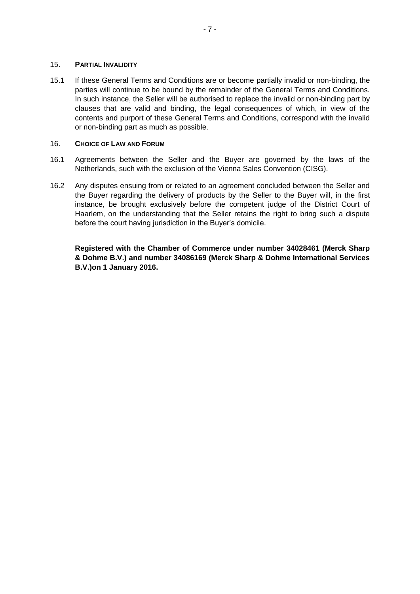#### 15. **PARTIAL INVALIDITY**

15.1 If these General Terms and Conditions are or become partially invalid or non-binding, the parties will continue to be bound by the remainder of the General Terms and Conditions. In such instance, the Seller will be authorised to replace the invalid or non-binding part by clauses that are valid and binding, the legal consequences of which, in view of the contents and purport of these General Terms and Conditions, correspond with the invalid or non-binding part as much as possible.

## 16. **CHOICE OF LAW AND FORUM**

- 16.1 Agreements between the Seller and the Buyer are governed by the laws of the Netherlands, such with the exclusion of the Vienna Sales Convention (CISG).
- 16.2 Any disputes ensuing from or related to an agreement concluded between the Seller and the Buyer regarding the delivery of products by the Seller to the Buyer will, in the first instance, be brought exclusively before the competent judge of the District Court of Haarlem, on the understanding that the Seller retains the right to bring such a dispute before the court having jurisdiction in the Buyer's domicile.

**Registered with the Chamber of Commerce under number 34028461 (Merck Sharp & Dohme B.V.) and number 34086169 (Merck Sharp & Dohme International Services B.V.)on 1 January 2016.**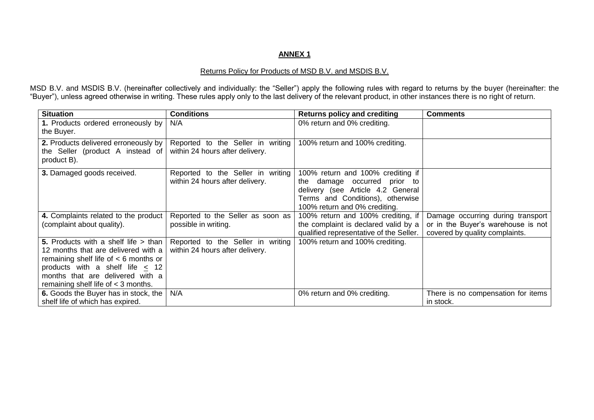# **ANNEX 1**

## Returns Policy for Products of MSD B.V. and MSDIS B.V.

MSD B.V. and MSDIS B.V. (hereinafter collectively and individually: the "Seller") apply the following rules with regard to returns by the buyer (hereinafter: the "Buyer"), unless agreed otherwise in writing. These rules apply only to the last delivery of the relevant product, in other instances there is no right of return.

| <b>Situation</b>                           | <b>Conditions</b>                 | <b>Returns policy and crediting</b>     | <b>Comments</b>                    |
|--------------------------------------------|-----------------------------------|-----------------------------------------|------------------------------------|
| 1. Products ordered erroneously by         | N/A                               | 0% return and 0% crediting.             |                                    |
| the Buyer.                                 |                                   |                                         |                                    |
| 2. Products delivered erroneously by       | Reported to the Seller in writing | 100% return and 100% crediting.         |                                    |
| the Seller (product A instead of           | within 24 hours after delivery.   |                                         |                                    |
| product B).                                |                                   |                                         |                                    |
| 3. Damaged goods received.                 | Reported to the Seller in writing | 100% return and 100% crediting if       |                                    |
|                                            | within 24 hours after delivery.   | the damage occurred prior to            |                                    |
|                                            |                                   | delivery (see Article 4.2 General       |                                    |
|                                            |                                   | Terms and Conditions), otherwise        |                                    |
|                                            |                                   | 100% return and 0% crediting.           |                                    |
| 4. Complaints related to the product       | Reported to the Seller as soon as | 100% return and 100% crediting, if      | Damage occurring during transport  |
| (complaint about quality).                 | possible in writing.              | the complaint is declared valid by a    | or in the Buyer's warehouse is not |
|                                            |                                   | qualified representative of the Seller. | covered by quality complaints.     |
| 5. Products with a shelf life > than       | Reported to the Seller in writing | 100% return and 100% crediting.         |                                    |
| 12 months that are delivered with a        | within 24 hours after delivery.   |                                         |                                    |
| remaining shelf life of $<$ 6 months or    |                                   |                                         |                                    |
| products with a shelf life $<$ 12          |                                   |                                         |                                    |
| months that are delivered with a           |                                   |                                         |                                    |
| remaining shelf life of $<$ 3 months.      |                                   |                                         |                                    |
| 6. Goods the Buyer has in stock, the   N/A |                                   | 0% return and 0% crediting.             | There is no compensation for items |
| shelf life of which has expired.           |                                   |                                         | in stock.                          |